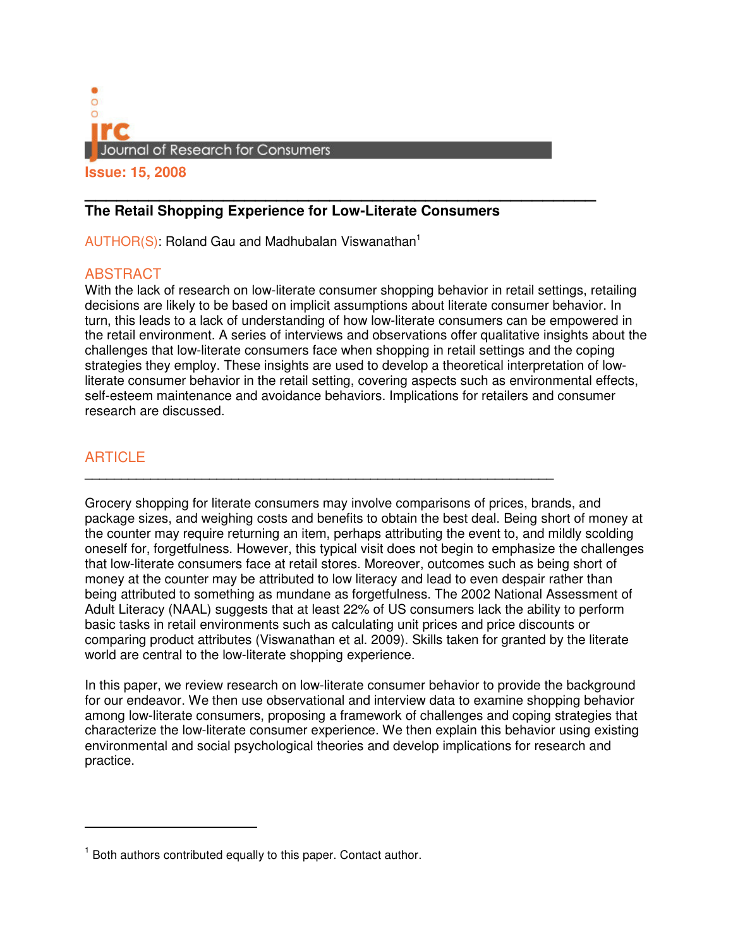

# **\_\_\_\_\_\_\_\_\_\_\_\_\_\_\_\_\_\_\_\_\_\_\_\_\_\_\_\_\_\_\_\_\_\_\_\_\_\_\_\_\_\_\_\_\_\_\_\_ The Retail Shopping Experience for Low-Literate Consumers**

 $AUTHOR(S)$ : Roland Gau and Madhubalan Viswanathan<sup>1</sup>

## **ABSTRACT**

With the lack of research on low-literate consumer shopping behavior in retail settings, retailing decisions are likely to be based on implicit assumptions about literate consumer behavior. In turn, this leads to a lack of understanding of how low-literate consumers can be empowered in the retail environment. A series of interviews and observations offer qualitative insights about the challenges that low-literate consumers face when shopping in retail settings and the coping strategies they employ. These insights are used to develop a theoretical interpretation of lowliterate consumer behavior in the retail setting, covering aspects such as environmental effects, self-esteem maintenance and avoidance behaviors. Implications for retailers and consumer research are discussed.

# **ARTICLE**

 $\overline{a}$ 

Grocery shopping for literate consumers may involve comparisons of prices, brands, and package sizes, and weighing costs and benefits to obtain the best deal. Being short of money at the counter may require returning an item, perhaps attributing the event to, and mildly scolding oneself for, forgetfulness. However, this typical visit does not begin to emphasize the challenges that low-literate consumers face at retail stores. Moreover, outcomes such as being short of money at the counter may be attributed to low literacy and lead to even despair rather than being attributed to something as mundane as forgetfulness. The 2002 National Assessment of Adult Literacy (NAAL) suggests that at least 22% of US consumers lack the ability to perform basic tasks in retail environments such as calculating unit prices and price discounts or comparing product attributes (Viswanathan et al. 2009). Skills taken for granted by the literate world are central to the low-literate shopping experience.

\_\_\_\_\_\_\_\_\_\_\_\_\_\_\_\_\_\_\_\_\_\_\_\_\_\_\_\_\_\_\_\_\_\_\_\_\_\_\_\_\_\_\_\_\_\_\_\_\_\_\_\_\_\_\_\_\_\_\_\_\_\_\_\_

In this paper, we review research on low-literate consumer behavior to provide the background for our endeavor. We then use observational and interview data to examine shopping behavior among low-literate consumers, proposing a framework of challenges and coping strategies that characterize the low-literate consumer experience. We then explain this behavior using existing environmental and social psychological theories and develop implications for research and practice.

<sup>&</sup>lt;sup>1</sup> Both authors contributed equally to this paper. Contact author.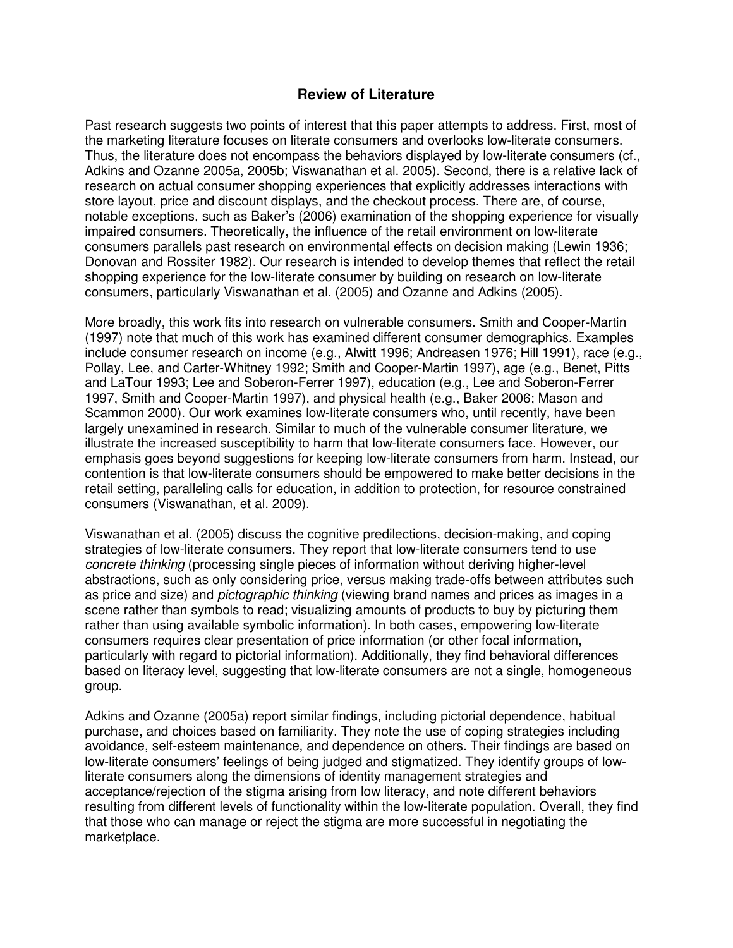## **Review of Literature**

Past research suggests two points of interest that this paper attempts to address. First, most of the marketing literature focuses on literate consumers and overlooks low-literate consumers. Thus, the literature does not encompass the behaviors displayed by low-literate consumers (cf., Adkins and Ozanne 2005a, 2005b; Viswanathan et al. 2005). Second, there is a relative lack of research on actual consumer shopping experiences that explicitly addresses interactions with store layout, price and discount displays, and the checkout process. There are, of course, notable exceptions, such as Baker's (2006) examination of the shopping experience for visually impaired consumers. Theoretically, the influence of the retail environment on low-literate consumers parallels past research on environmental effects on decision making (Lewin 1936; Donovan and Rossiter 1982). Our research is intended to develop themes that reflect the retail shopping experience for the low-literate consumer by building on research on low-literate consumers, particularly Viswanathan et al. (2005) and Ozanne and Adkins (2005).

More broadly, this work fits into research on vulnerable consumers. Smith and Cooper-Martin (1997) note that much of this work has examined different consumer demographics. Examples include consumer research on income (e.g., Alwitt 1996; Andreasen 1976; Hill 1991), race (e.g., Pollay, Lee, and Carter-Whitney 1992; Smith and Cooper-Martin 1997), age (e.g., Benet, Pitts and LaTour 1993; Lee and Soberon-Ferrer 1997), education (e.g., Lee and Soberon-Ferrer 1997, Smith and Cooper-Martin 1997), and physical health (e.g., Baker 2006; Mason and Scammon 2000). Our work examines low-literate consumers who, until recently, have been largely unexamined in research. Similar to much of the vulnerable consumer literature, we illustrate the increased susceptibility to harm that low-literate consumers face. However, our emphasis goes beyond suggestions for keeping low-literate consumers from harm. Instead, our contention is that low-literate consumers should be empowered to make better decisions in the retail setting, paralleling calls for education, in addition to protection, for resource constrained consumers (Viswanathan, et al. 2009).

Viswanathan et al. (2005) discuss the cognitive predilections, decision-making, and coping strategies of low-literate consumers. They report that low-literate consumers tend to use concrete thinking (processing single pieces of information without deriving higher-level abstractions, such as only considering price, versus making trade-offs between attributes such as price and size) and *pictographic thinking* (viewing brand names and prices as images in a scene rather than symbols to read; visualizing amounts of products to buy by picturing them rather than using available symbolic information). In both cases, empowering low-literate consumers requires clear presentation of price information (or other focal information, particularly with regard to pictorial information). Additionally, they find behavioral differences based on literacy level, suggesting that low-literate consumers are not a single, homogeneous group.

Adkins and Ozanne (2005a) report similar findings, including pictorial dependence, habitual purchase, and choices based on familiarity. They note the use of coping strategies including avoidance, self-esteem maintenance, and dependence on others. Their findings are based on low-literate consumers' feelings of being judged and stigmatized. They identify groups of lowliterate consumers along the dimensions of identity management strategies and acceptance/rejection of the stigma arising from low literacy, and note different behaviors resulting from different levels of functionality within the low-literate population. Overall, they find that those who can manage or reject the stigma are more successful in negotiating the marketplace.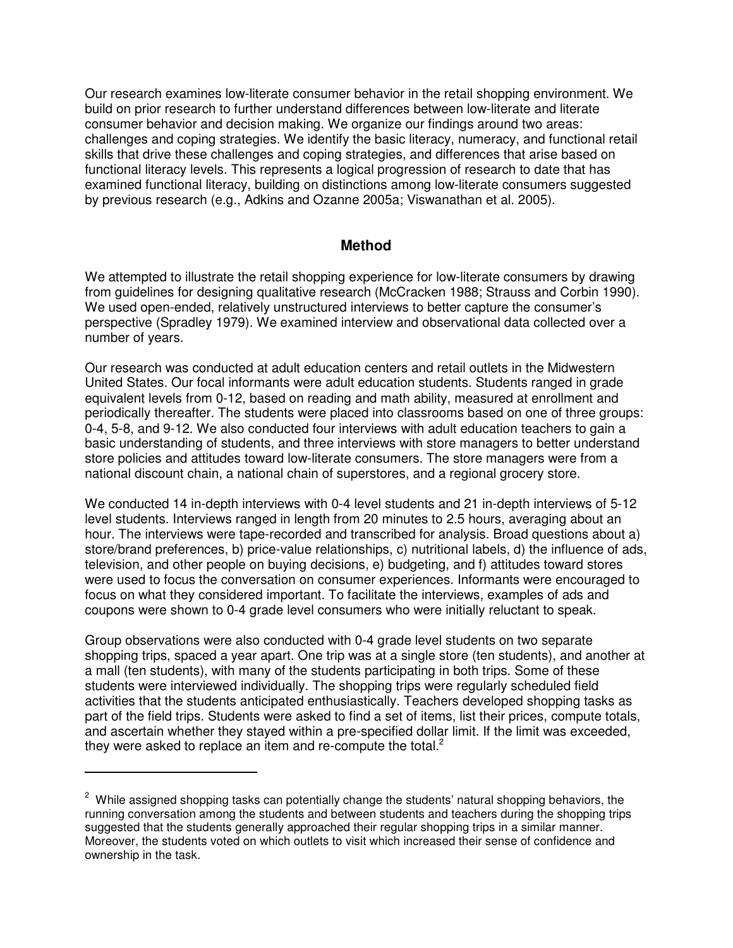Our research examines low-literate consumer behavior in the retail shopping environment. We build on prior research to further understand differences between low-literate and literate consumer behavior and decision making. We organize our findings around two areas: challenges and coping strategies. We identify the basic literacy, numeracy, and functional retail skills that drive these challenges and coping strategies, and differences that arise based on functional literacy levels. This represents a logical progression of research to date that has examined functional literacy, building on distinctions among low-literate consumers suggested by previous research (e.g., Adkins and Ozanne 2005a; Viswanathan et al. 2005).

### **Method**

We attempted to illustrate the retail shopping experience for low-literate consumers by drawing from guidelines for designing qualitative research (McCracken 1988; Strauss and Corbin 1990). We used open-ended, relatively unstructured interviews to better capture the consumer's perspective (Spradley 1979). We examined interview and observational data collected over a number of years.

Our research was conducted at adult education centers and retail outlets in the Midwestern United States. Our focal informants were adult education students. Students ranged in grade equivalent levels from 0-12, based on reading and math ability, measured at enrollment and periodically thereafter. The students were placed into classrooms based on one of three groups: 0-4, 5-8, and 9-12. We also conducted four interviews with adult education teachers to gain a basic understanding of students, and three interviews with store managers to better understand store policies and attitudes toward low-literate consumers. The store managers were from a national discount chain, a national chain of superstores, and a regional grocery store.

We conducted 14 in-depth interviews with 0-4 level students and 21 in-depth interviews of 5-12 level students. Interviews ranged in length from 20 minutes to 2.5 hours, averaging about an hour. The interviews were tape-recorded and transcribed for analysis. Broad questions about a) store/brand preferences, b) price-value relationships, c) nutritional labels, d) the influence of ads, television, and other people on buying decisions, e) budgeting, and f) attitudes toward stores were used to focus the conversation on consumer experiences. Informants were encouraged to focus on what they considered important. To facilitate the interviews, examples of ads and coupons were shown to 0-4 grade level consumers who were initially reluctant to speak.

Group observations were also conducted with 0-4 grade level students on two separate shopping trips, spaced a year apart. One trip was at a single store (ten students), and another at a mall (ten students), with many of the students participating in both trips. Some of these students were interviewed individually. The shopping trips were regularly scheduled field activities that the students anticipated enthusiastically. Teachers developed shopping tasks as part of the field trips. Students were asked to find a set of items, list their prices, compute totals, and ascertain whether they stayed within a pre-specified dollar limit. If the limit was exceeded, they were asked to replace an item and re-compute the total. $^2$ 

l

 $2$  While assigned shopping tasks can potentially change the students' natural shopping behaviors, the running conversation among the students and between students and teachers during the shopping trips suggested that the students generally approached their regular shopping trips in a similar manner. Moreover, the students voted on which outlets to visit which increased their sense of confidence and ownership in the task.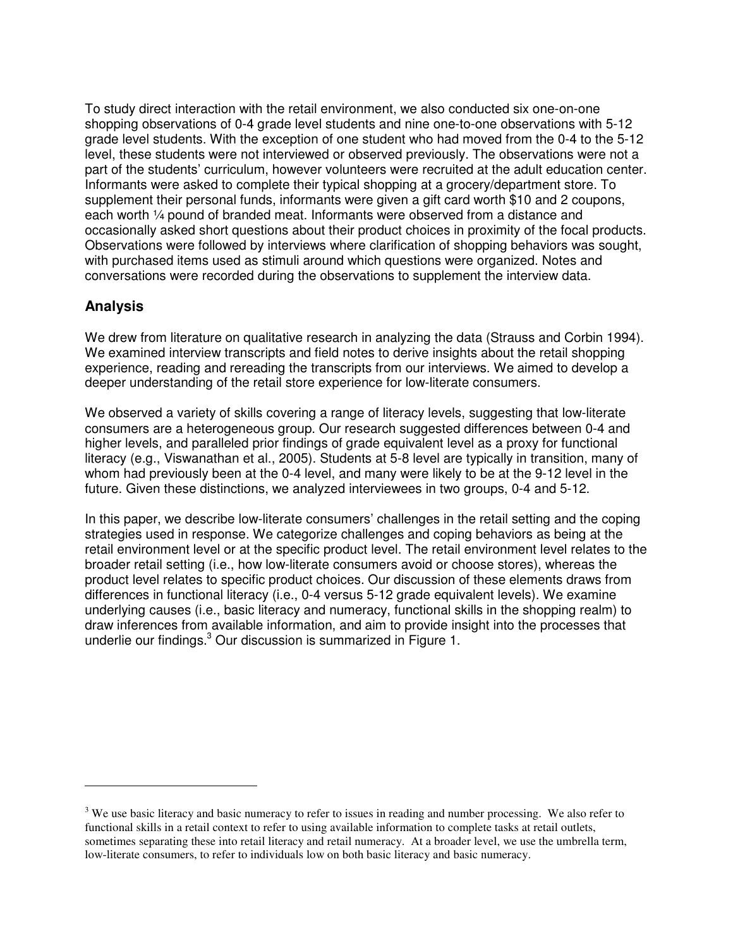To study direct interaction with the retail environment, we also conducted six one-on-one shopping observations of 0-4 grade level students and nine one-to-one observations with 5-12 grade level students. With the exception of one student who had moved from the 0-4 to the 5-12 level, these students were not interviewed or observed previously. The observations were not a part of the students' curriculum, however volunteers were recruited at the adult education center. Informants were asked to complete their typical shopping at a grocery/department store. To supplement their personal funds, informants were given a gift card worth \$10 and 2 coupons, each worth ¼ pound of branded meat. Informants were observed from a distance and occasionally asked short questions about their product choices in proximity of the focal products. Observations were followed by interviews where clarification of shopping behaviors was sought, with purchased items used as stimuli around which questions were organized. Notes and conversations were recorded during the observations to supplement the interview data.

# **Analysis**

l

We drew from literature on qualitative research in analyzing the data (Strauss and Corbin 1994). We examined interview transcripts and field notes to derive insights about the retail shopping experience, reading and rereading the transcripts from our interviews. We aimed to develop a deeper understanding of the retail store experience for low-literate consumers.

We observed a variety of skills covering a range of literacy levels, suggesting that low-literate consumers are a heterogeneous group. Our research suggested differences between 0-4 and higher levels, and paralleled prior findings of grade equivalent level as a proxy for functional literacy (e.g., Viswanathan et al., 2005). Students at 5-8 level are typically in transition, many of whom had previously been at the 0-4 level, and many were likely to be at the 9-12 level in the future. Given these distinctions, we analyzed interviewees in two groups, 0-4 and 5-12.

In this paper, we describe low-literate consumers' challenges in the retail setting and the coping strategies used in response. We categorize challenges and coping behaviors as being at the retail environment level or at the specific product level. The retail environment level relates to the broader retail setting (i.e., how low-literate consumers avoid or choose stores), whereas the product level relates to specific product choices. Our discussion of these elements draws from differences in functional literacy (i.e., 0-4 versus 5-12 grade equivalent levels). We examine underlying causes (i.e., basic literacy and numeracy, functional skills in the shopping realm) to draw inferences from available information, and aim to provide insight into the processes that underlie our findings.<sup>3</sup> Our discussion is summarized in Figure 1.

 $3$  We use basic literacy and basic numeracy to refer to issues in reading and number processing. We also refer to functional skills in a retail context to refer to using available information to complete tasks at retail outlets, sometimes separating these into retail literacy and retail numeracy. At a broader level, we use the umbrella term, low-literate consumers, to refer to individuals low on both basic literacy and basic numeracy.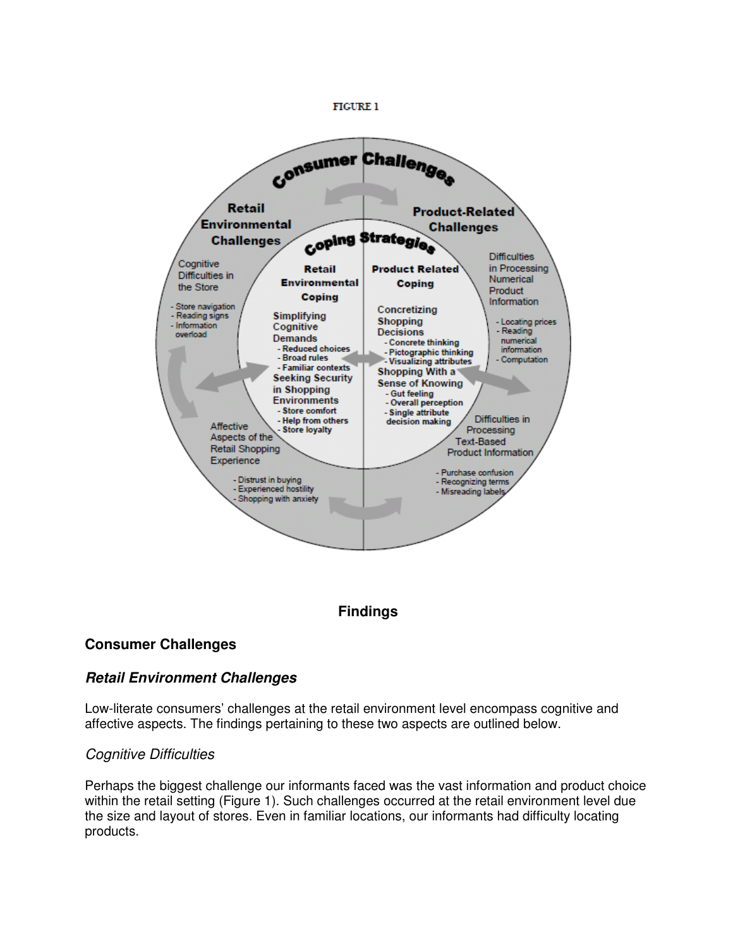#### **FIGURE 1**



# **Findings**

## **Consumer Challenges**

## **Retail Environment Challenges**

Low-literate consumers' challenges at the retail environment level encompass cognitive and affective aspects. The findings pertaining to these two aspects are outlined below.

#### Cognitive Difficulties

Perhaps the biggest challenge our informants faced was the vast information and product choice within the retail setting (Figure 1). Such challenges occurred at the retail environment level due the size and layout of stores. Even in familiar locations, our informants had difficulty locating products.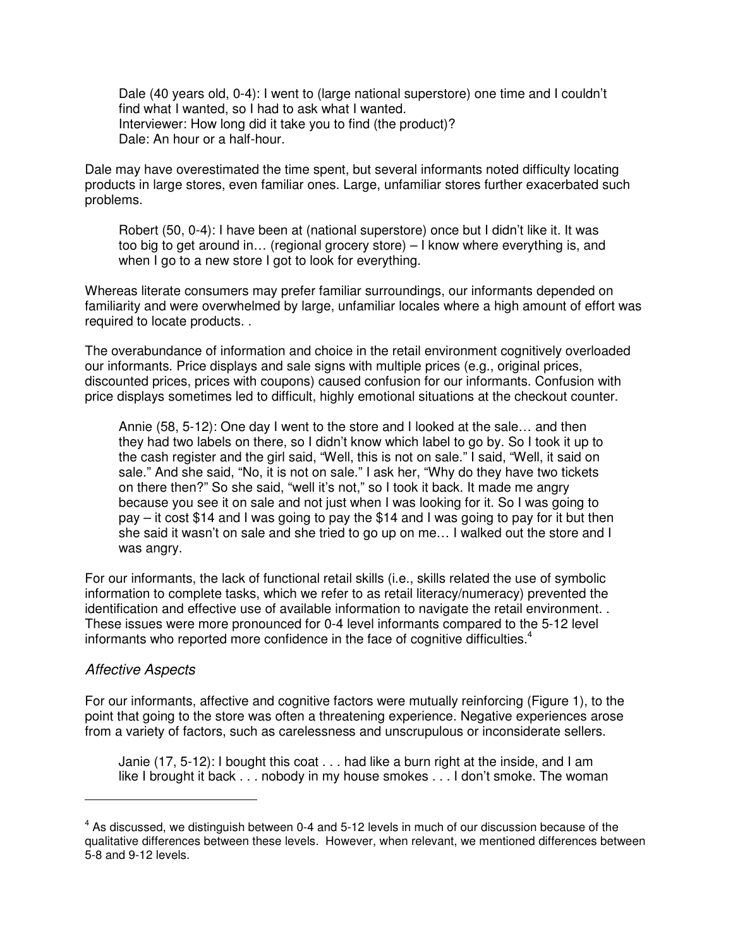Dale (40 years old, 0-4): I went to (large national superstore) one time and I couldn't find what I wanted, so I had to ask what I wanted. Interviewer: How long did it take you to find (the product)? Dale: An hour or a half-hour.

Dale may have overestimated the time spent, but several informants noted difficulty locating products in large stores, even familiar ones. Large, unfamiliar stores further exacerbated such problems.

Robert (50, 0-4): I have been at (national superstore) once but I didn't like it. It was too big to get around in… (regional grocery store) – I know where everything is, and when I go to a new store I got to look for everything.

Whereas literate consumers may prefer familiar surroundings, our informants depended on familiarity and were overwhelmed by large, unfamiliar locales where a high amount of effort was required to locate products. .

The overabundance of information and choice in the retail environment cognitively overloaded our informants. Price displays and sale signs with multiple prices (e.g., original prices, discounted prices, prices with coupons) caused confusion for our informants. Confusion with price displays sometimes led to difficult, highly emotional situations at the checkout counter.

Annie (58, 5-12): One day I went to the store and I looked at the sale… and then they had two labels on there, so I didn't know which label to go by. So I took it up to the cash register and the girl said, "Well, this is not on sale." I said, "Well, it said on sale." And she said, "No, it is not on sale." I ask her, "Why do they have two tickets on there then?" So she said, "well it's not," so I took it back. It made me angry because you see it on sale and not just when I was looking for it. So I was going to pay – it cost \$14 and I was going to pay the \$14 and I was going to pay for it but then she said it wasn't on sale and she tried to go up on me… I walked out the store and I was angry.

For our informants, the lack of functional retail skills (i.e., skills related the use of symbolic information to complete tasks, which we refer to as retail literacy/numeracy) prevented the identification and effective use of available information to navigate the retail environment. . These issues were more pronounced for 0-4 level informants compared to the 5-12 level informants who reported more confidence in the face of cognitive difficulties.<sup>4</sup>

#### Affective Aspects

 $\overline{a}$ 

For our informants, affective and cognitive factors were mutually reinforcing (Figure 1), to the point that going to the store was often a threatening experience. Negative experiences arose from a variety of factors, such as carelessness and unscrupulous or inconsiderate sellers.

Janie (17, 5-12): I bought this coat . . . had like a burn right at the inside, and I am like I brought it back . . . nobody in my house smokes . . . I don't smoke. The woman

 $<sup>4</sup>$  As discussed, we distinguish between 0-4 and 5-12 levels in much of our discussion because of the</sup> qualitative differences between these levels. However, when relevant, we mentioned differences between 5-8 and 9-12 levels.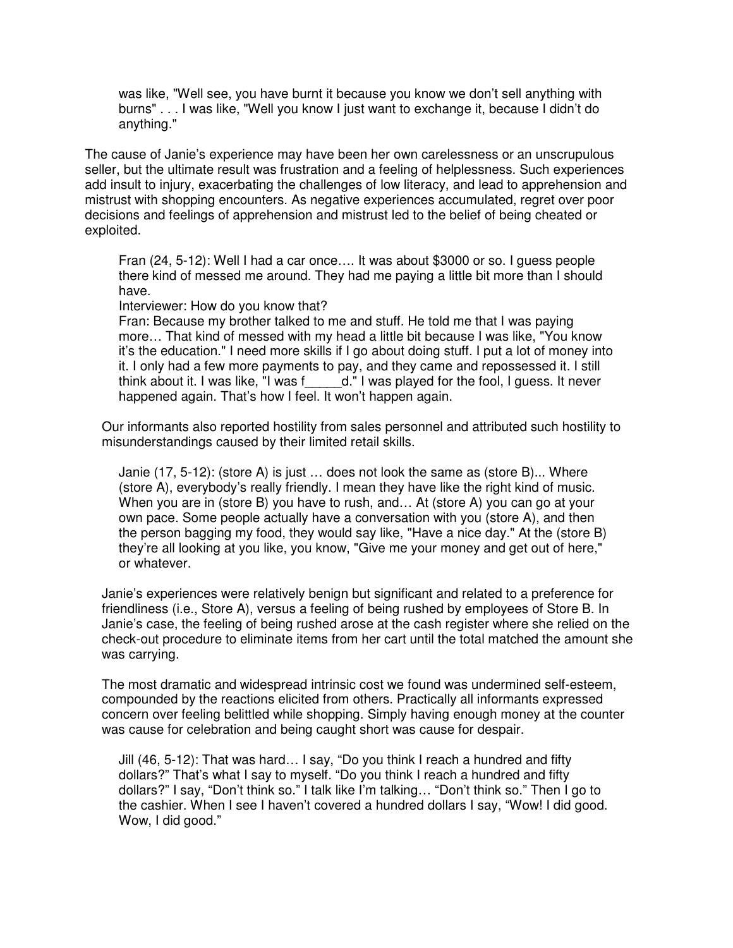was like, "Well see, you have burnt it because you know we don't sell anything with burns" . . . I was like, "Well you know I just want to exchange it, because I didn't do anything."

The cause of Janie's experience may have been her own carelessness or an unscrupulous seller, but the ultimate result was frustration and a feeling of helplessness. Such experiences add insult to injury, exacerbating the challenges of low literacy, and lead to apprehension and mistrust with shopping encounters. As negative experiences accumulated, regret over poor decisions and feelings of apprehension and mistrust led to the belief of being cheated or exploited.

Fran (24, 5-12): Well I had a car once…. It was about \$3000 or so. I guess people there kind of messed me around. They had me paying a little bit more than I should have.

Interviewer: How do you know that?

Fran: Because my brother talked to me and stuff. He told me that I was paying more… That kind of messed with my head a little bit because I was like, "You know it's the education." I need more skills if I go about doing stuff. I put a lot of money into it. I only had a few more payments to pay, and they came and repossessed it. I still think about it. I was like, "I was f\_\_\_\_\_d." I was played for the fool, I guess. It never happened again. That's how I feel. It won't happen again.

Our informants also reported hostility from sales personnel and attributed such hostility to misunderstandings caused by their limited retail skills.

Janie (17, 5-12): (store A) is just … does not look the same as (store B)... Where (store A), everybody's really friendly. I mean they have like the right kind of music. When you are in (store B) you have to rush, and… At (store A) you can go at your own pace. Some people actually have a conversation with you (store A), and then the person bagging my food, they would say like, "Have a nice day." At the (store B) they're all looking at you like, you know, "Give me your money and get out of here," or whatever.

Janie's experiences were relatively benign but significant and related to a preference for friendliness (i.e., Store A), versus a feeling of being rushed by employees of Store B. In Janie's case, the feeling of being rushed arose at the cash register where she relied on the check-out procedure to eliminate items from her cart until the total matched the amount she was carrying.

The most dramatic and widespread intrinsic cost we found was undermined self-esteem, compounded by the reactions elicited from others. Practically all informants expressed concern over feeling belittled while shopping. Simply having enough money at the counter was cause for celebration and being caught short was cause for despair.

Jill (46, 5-12): That was hard… I say, "Do you think I reach a hundred and fifty dollars?" That's what I say to myself. "Do you think I reach a hundred and fifty dollars?" I say, "Don't think so." I talk like I'm talking… "Don't think so." Then I go to the cashier. When I see I haven't covered a hundred dollars I say, "Wow! I did good. Wow, I did good."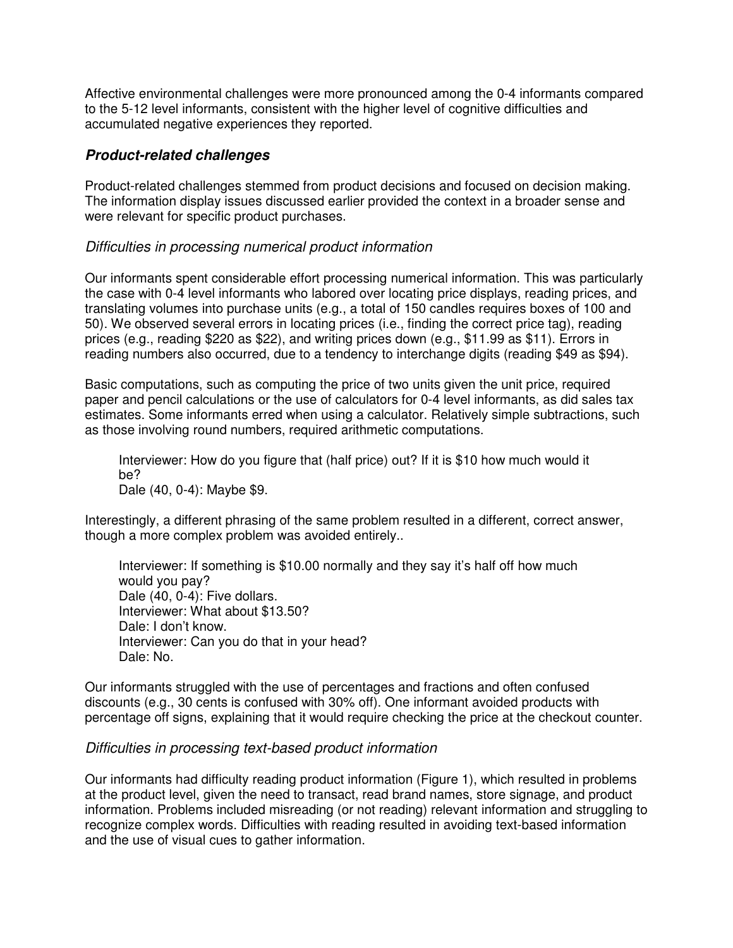Affective environmental challenges were more pronounced among the 0-4 informants compared to the 5-12 level informants, consistent with the higher level of cognitive difficulties and accumulated negative experiences they reported.

### **Product-related challenges**

Product-related challenges stemmed from product decisions and focused on decision making. The information display issues discussed earlier provided the context in a broader sense and were relevant for specific product purchases.

### Difficulties in processing numerical product information

Our informants spent considerable effort processing numerical information. This was particularly the case with 0-4 level informants who labored over locating price displays, reading prices, and translating volumes into purchase units (e.g., a total of 150 candles requires boxes of 100 and 50). We observed several errors in locating prices (i.e., finding the correct price tag), reading prices (e.g., reading \$220 as \$22), and writing prices down (e.g., \$11.99 as \$11). Errors in reading numbers also occurred, due to a tendency to interchange digits (reading \$49 as \$94).

Basic computations, such as computing the price of two units given the unit price, required paper and pencil calculations or the use of calculators for 0-4 level informants, as did sales tax estimates. Some informants erred when using a calculator. Relatively simple subtractions, such as those involving round numbers, required arithmetic computations.

Interviewer: How do you figure that (half price) out? If it is \$10 how much would it be? Dale (40, 0-4): Maybe \$9.

Interestingly, a different phrasing of the same problem resulted in a different, correct answer, though a more complex problem was avoided entirely..

Interviewer: If something is \$10.00 normally and they say it's half off how much would you pay? Dale (40, 0-4): Five dollars. Interviewer: What about \$13.50? Dale: I don't know. Interviewer: Can you do that in your head? Dale: No.

Our informants struggled with the use of percentages and fractions and often confused discounts (e.g., 30 cents is confused with 30% off). One informant avoided products with percentage off signs, explaining that it would require checking the price at the checkout counter.

#### Difficulties in processing text-based product information

Our informants had difficulty reading product information (Figure 1), which resulted in problems at the product level, given the need to transact, read brand names, store signage, and product information. Problems included misreading (or not reading) relevant information and struggling to recognize complex words. Difficulties with reading resulted in avoiding text-based information and the use of visual cues to gather information.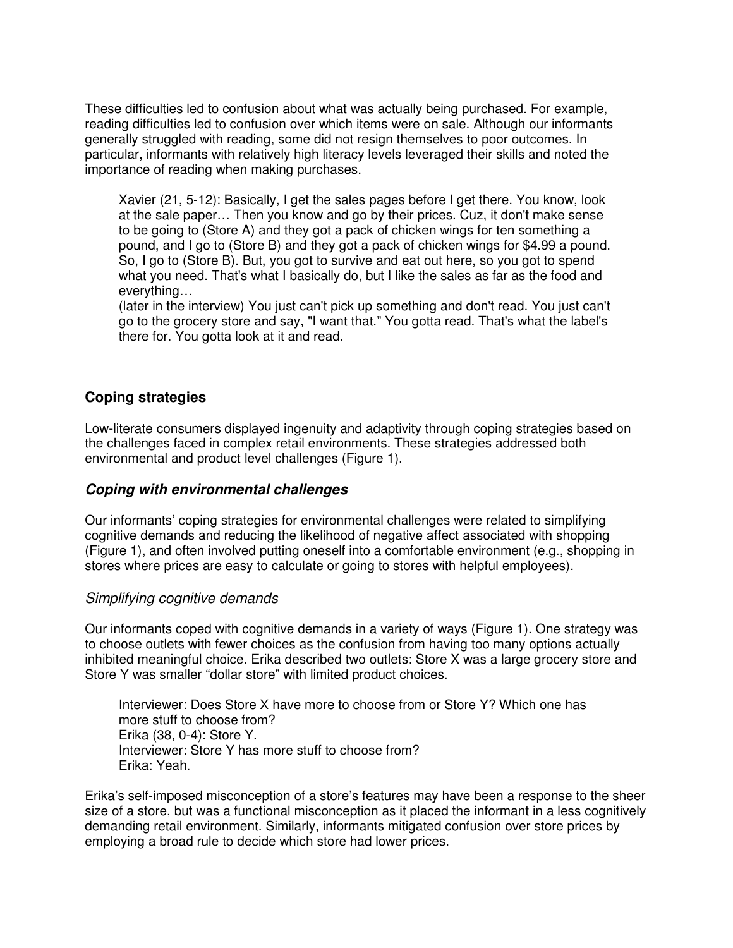These difficulties led to confusion about what was actually being purchased. For example, reading difficulties led to confusion over which items were on sale. Although our informants generally struggled with reading, some did not resign themselves to poor outcomes. In particular, informants with relatively high literacy levels leveraged their skills and noted the importance of reading when making purchases.

Xavier (21, 5-12): Basically, I get the sales pages before I get there. You know, look at the sale paper… Then you know and go by their prices. Cuz, it don't make sense to be going to (Store A) and they got a pack of chicken wings for ten something a pound, and I go to (Store B) and they got a pack of chicken wings for \$4.99 a pound. So, I go to (Store B). But, you got to survive and eat out here, so you got to spend what you need. That's what I basically do, but I like the sales as far as the food and everything…

(later in the interview) You just can't pick up something and don't read. You just can't go to the grocery store and say, "I want that." You gotta read. That's what the label's there for. You gotta look at it and read.

## **Coping strategies**

Low-literate consumers displayed ingenuity and adaptivity through coping strategies based on the challenges faced in complex retail environments. These strategies addressed both environmental and product level challenges (Figure 1).

## **Coping with environmental challenges**

Our informants' coping strategies for environmental challenges were related to simplifying cognitive demands and reducing the likelihood of negative affect associated with shopping (Figure 1), and often involved putting oneself into a comfortable environment (e.g., shopping in stores where prices are easy to calculate or going to stores with helpful employees).

#### Simplifying cognitive demands

Our informants coped with cognitive demands in a variety of ways (Figure 1). One strategy was to choose outlets with fewer choices as the confusion from having too many options actually inhibited meaningful choice. Erika described two outlets: Store X was a large grocery store and Store Y was smaller "dollar store" with limited product choices.

Interviewer: Does Store X have more to choose from or Store Y? Which one has more stuff to choose from? Erika (38, 0-4): Store Y. Interviewer: Store Y has more stuff to choose from? Erika: Yeah.

Erika's self-imposed misconception of a store's features may have been a response to the sheer size of a store, but was a functional misconception as it placed the informant in a less cognitively demanding retail environment. Similarly, informants mitigated confusion over store prices by employing a broad rule to decide which store had lower prices.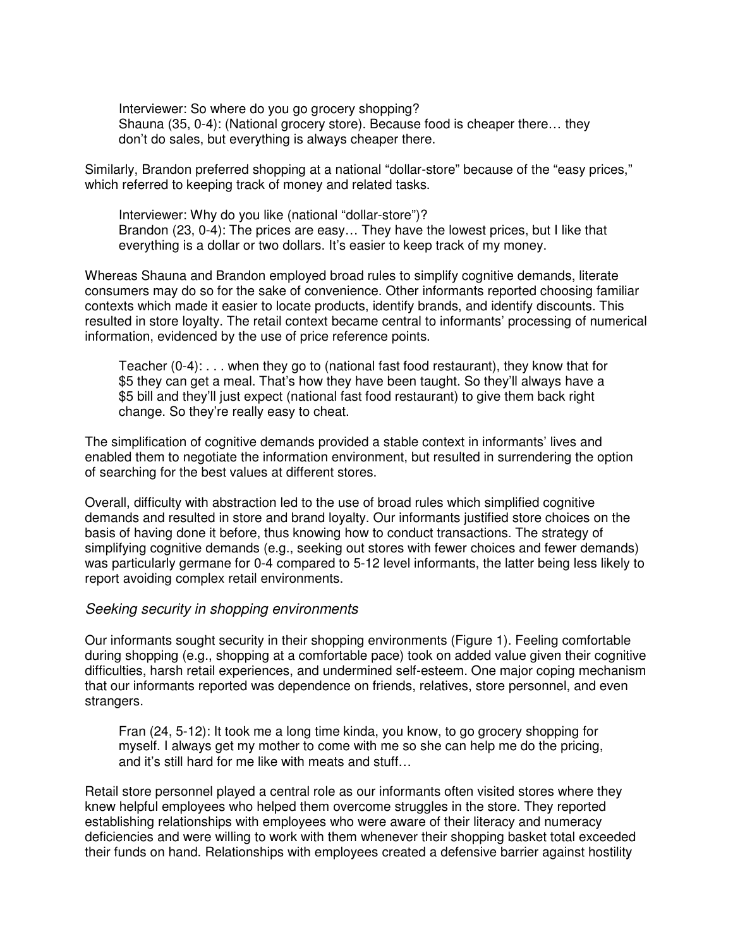Interviewer: So where do you go grocery shopping? Shauna (35, 0-4): (National grocery store). Because food is cheaper there… they don't do sales, but everything is always cheaper there.

Similarly, Brandon preferred shopping at a national "dollar-store" because of the "easy prices," which referred to keeping track of money and related tasks.

Interviewer: Why do you like (national "dollar-store")? Brandon (23, 0-4): The prices are easy… They have the lowest prices, but I like that everything is a dollar or two dollars. It's easier to keep track of my money.

Whereas Shauna and Brandon employed broad rules to simplify cognitive demands, literate consumers may do so for the sake of convenience. Other informants reported choosing familiar contexts which made it easier to locate products, identify brands, and identify discounts. This resulted in store loyalty. The retail context became central to informants' processing of numerical information, evidenced by the use of price reference points.

Teacher (0-4): . . . when they go to (national fast food restaurant), they know that for \$5 they can get a meal. That's how they have been taught. So they'll always have a \$5 bill and they'll just expect (national fast food restaurant) to give them back right change. So they're really easy to cheat.

The simplification of cognitive demands provided a stable context in informants' lives and enabled them to negotiate the information environment, but resulted in surrendering the option of searching for the best values at different stores.

Overall, difficulty with abstraction led to the use of broad rules which simplified cognitive demands and resulted in store and brand loyalty. Our informants justified store choices on the basis of having done it before, thus knowing how to conduct transactions. The strategy of simplifying cognitive demands (e.g., seeking out stores with fewer choices and fewer demands) was particularly germane for 0-4 compared to 5-12 level informants, the latter being less likely to report avoiding complex retail environments.

#### Seeking security in shopping environments

Our informants sought security in their shopping environments (Figure 1). Feeling comfortable during shopping (e.g., shopping at a comfortable pace) took on added value given their cognitive difficulties, harsh retail experiences, and undermined self-esteem. One major coping mechanism that our informants reported was dependence on friends, relatives, store personnel, and even strangers.

Fran (24, 5-12): It took me a long time kinda, you know, to go grocery shopping for myself. I always get my mother to come with me so she can help me do the pricing, and it's still hard for me like with meats and stuff…

Retail store personnel played a central role as our informants often visited stores where they knew helpful employees who helped them overcome struggles in the store. They reported establishing relationships with employees who were aware of their literacy and numeracy deficiencies and were willing to work with them whenever their shopping basket total exceeded their funds on hand. Relationships with employees created a defensive barrier against hostility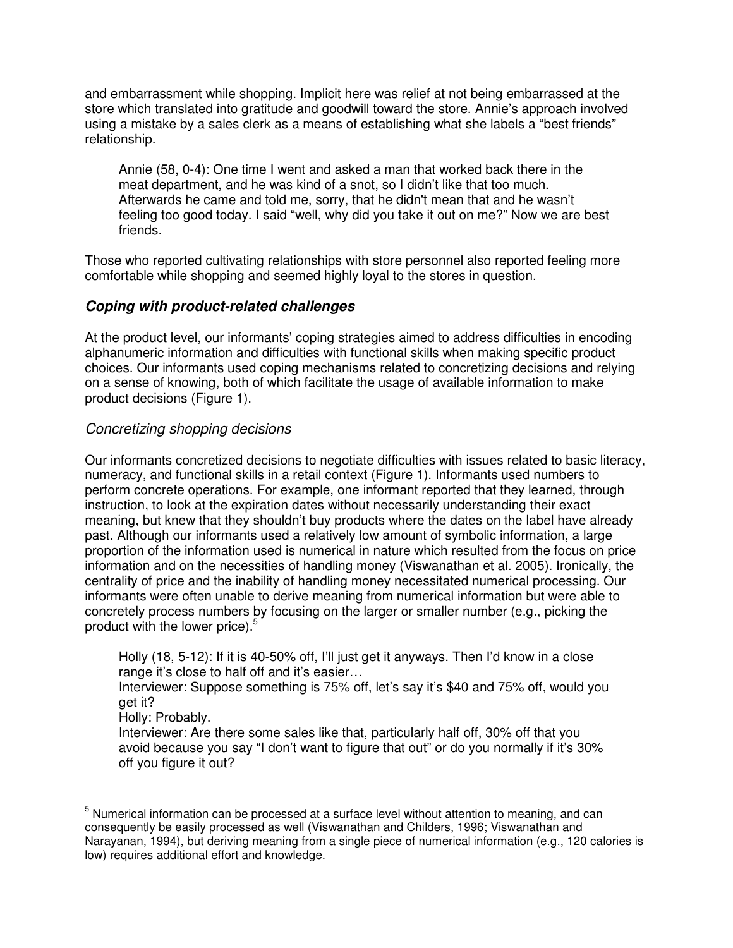and embarrassment while shopping. Implicit here was relief at not being embarrassed at the store which translated into gratitude and goodwill toward the store. Annie's approach involved using a mistake by a sales clerk as a means of establishing what she labels a "best friends" relationship.

Annie (58, 0-4): One time I went and asked a man that worked back there in the meat department, and he was kind of a snot, so I didn't like that too much. Afterwards he came and told me, sorry, that he didn't mean that and he wasn't feeling too good today. I said "well, why did you take it out on me?" Now we are best friends.

Those who reported cultivating relationships with store personnel also reported feeling more comfortable while shopping and seemed highly loyal to the stores in question.

## **Coping with product-related challenges**

At the product level, our informants' coping strategies aimed to address difficulties in encoding alphanumeric information and difficulties with functional skills when making specific product choices. Our informants used coping mechanisms related to concretizing decisions and relying on a sense of knowing, both of which facilitate the usage of available information to make product decisions (Figure 1).

### Concretizing shopping decisions

Our informants concretized decisions to negotiate difficulties with issues related to basic literacy, numeracy, and functional skills in a retail context (Figure 1). Informants used numbers to perform concrete operations. For example, one informant reported that they learned, through instruction, to look at the expiration dates without necessarily understanding their exact meaning, but knew that they shouldn't buy products where the dates on the label have already past. Although our informants used a relatively low amount of symbolic information, a large proportion of the information used is numerical in nature which resulted from the focus on price information and on the necessities of handling money (Viswanathan et al. 2005). Ironically, the centrality of price and the inability of handling money necessitated numerical processing. Our informants were often unable to derive meaning from numerical information but were able to concretely process numbers by focusing on the larger or smaller number (e.g., picking the product with the lower price). $5$ 

Holly (18, 5-12): If it is 40-50% off, I'll just get it anyways. Then I'd know in a close range it's close to half off and it's easier…

Interviewer: Suppose something is 75% off, let's say it's \$40 and 75% off, would you get it?

Holly: Probably.

l

Interviewer: Are there some sales like that, particularly half off, 30% off that you avoid because you say "I don't want to figure that out" or do you normally if it's 30% off you figure it out?

 $<sup>5</sup>$  Numerical information can be processed at a surface level without attention to meaning, and can</sup> consequently be easily processed as well (Viswanathan and Childers, 1996; Viswanathan and Narayanan, 1994), but deriving meaning from a single piece of numerical information (e.g., 120 calories is low) requires additional effort and knowledge.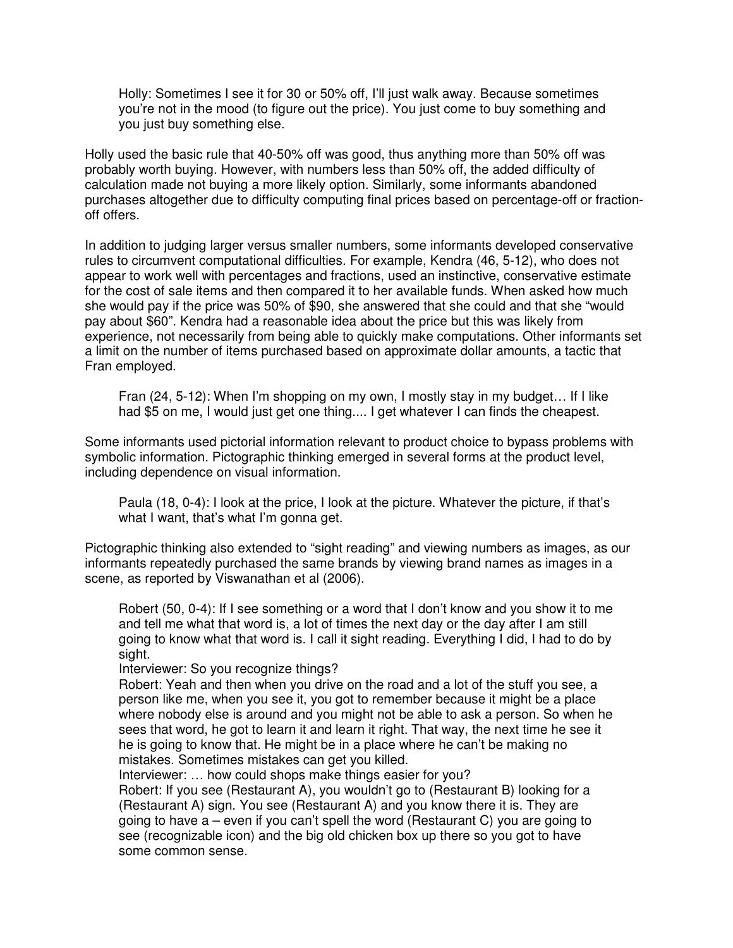Holly: Sometimes I see it for 30 or 50% off, I'll just walk away. Because sometimes you're not in the mood (to figure out the price). You just come to buy something and you just buy something else.

Holly used the basic rule that 40-50% off was good, thus anything more than 50% off was probably worth buying. However, with numbers less than 50% off, the added difficulty of calculation made not buying a more likely option. Similarly, some informants abandoned purchases altogether due to difficulty computing final prices based on percentage-off or fractionoff offers.

In addition to judging larger versus smaller numbers, some informants developed conservative rules to circumvent computational difficulties. For example, Kendra (46, 5-12), who does not appear to work well with percentages and fractions, used an instinctive, conservative estimate for the cost of sale items and then compared it to her available funds. When asked how much she would pay if the price was 50% of \$90, she answered that she could and that she "would pay about \$60". Kendra had a reasonable idea about the price but this was likely from experience, not necessarily from being able to quickly make computations. Other informants set a limit on the number of items purchased based on approximate dollar amounts, a tactic that Fran employed.

Fran (24, 5-12): When I'm shopping on my own, I mostly stay in my budget… If I like had \$5 on me, I would just get one thing.... I get whatever I can finds the cheapest.

Some informants used pictorial information relevant to product choice to bypass problems with symbolic information. Pictographic thinking emerged in several forms at the product level, including dependence on visual information.

Paula (18, 0-4): I look at the price, I look at the picture. Whatever the picture, if that's what I want, that's what I'm gonna get.

Pictographic thinking also extended to "sight reading" and viewing numbers as images, as our informants repeatedly purchased the same brands by viewing brand names as images in a scene, as reported by Viswanathan et al (2006).

Robert (50, 0-4): If I see something or a word that I don't know and you show it to me and tell me what that word is, a lot of times the next day or the day after I am still going to know what that word is. I call it sight reading. Everything I did, I had to do by sight.

Interviewer: So you recognize things?

Robert: Yeah and then when you drive on the road and a lot of the stuff you see, a person like me, when you see it, you got to remember because it might be a place where nobody else is around and you might not be able to ask a person. So when he sees that word, he got to learn it and learn it right. That way, the next time he see it he is going to know that. He might be in a place where he can't be making no mistakes. Sometimes mistakes can get you killed.

Interviewer: ... how could shops make things easier for you?

Robert: If you see (Restaurant A), you wouldn't go to (Restaurant B) looking for a (Restaurant A) sign. You see (Restaurant A) and you know there it is. They are going to have a – even if you can't spell the word (Restaurant C) you are going to see (recognizable icon) and the big old chicken box up there so you got to have some common sense.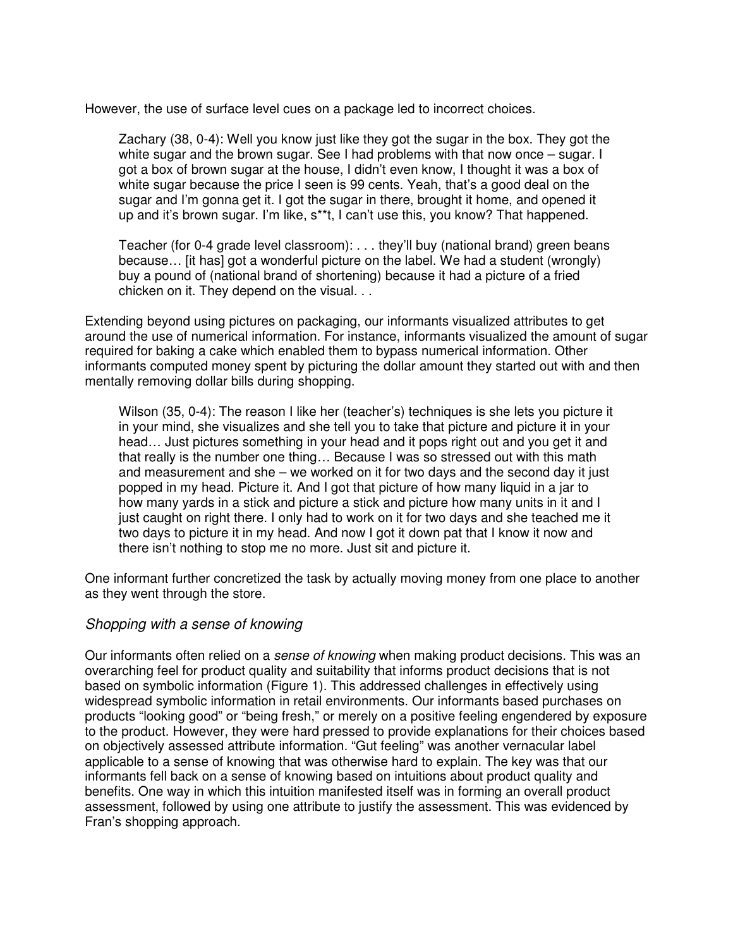However, the use of surface level cues on a package led to incorrect choices.

Zachary (38, 0-4): Well you know just like they got the sugar in the box. They got the white sugar and the brown sugar. See I had problems with that now once – sugar. I got a box of brown sugar at the house, I didn't even know, I thought it was a box of white sugar because the price I seen is 99 cents. Yeah, that's a good deal on the sugar and I'm gonna get it. I got the sugar in there, brought it home, and opened it up and it's brown sugar. I'm like, s\*\*t, I can't use this, you know? That happened.

Teacher (for 0-4 grade level classroom): . . . they'll buy (national brand) green beans because… [it has] got a wonderful picture on the label. We had a student (wrongly) buy a pound of (national brand of shortening) because it had a picture of a fried chicken on it. They depend on the visual. . .

Extending beyond using pictures on packaging, our informants visualized attributes to get around the use of numerical information. For instance, informants visualized the amount of sugar required for baking a cake which enabled them to bypass numerical information. Other informants computed money spent by picturing the dollar amount they started out with and then mentally removing dollar bills during shopping.

Wilson (35, 0-4): The reason I like her (teacher's) techniques is she lets you picture it in your mind, she visualizes and she tell you to take that picture and picture it in your head… Just pictures something in your head and it pops right out and you get it and that really is the number one thing… Because I was so stressed out with this math and measurement and she – we worked on it for two days and the second day it just popped in my head. Picture it. And I got that picture of how many liquid in a jar to how many yards in a stick and picture a stick and picture how many units in it and I just caught on right there. I only had to work on it for two days and she teached me it two days to picture it in my head. And now I got it down pat that I know it now and there isn't nothing to stop me no more. Just sit and picture it.

One informant further concretized the task by actually moving money from one place to another as they went through the store.

#### Shopping with a sense of knowing

Our informants often relied on a *sense of knowing* when making product decisions. This was an overarching feel for product quality and suitability that informs product decisions that is not based on symbolic information (Figure 1). This addressed challenges in effectively using widespread symbolic information in retail environments. Our informants based purchases on products "looking good" or "being fresh," or merely on a positive feeling engendered by exposure to the product. However, they were hard pressed to provide explanations for their choices based on objectively assessed attribute information. "Gut feeling" was another vernacular label applicable to a sense of knowing that was otherwise hard to explain. The key was that our informants fell back on a sense of knowing based on intuitions about product quality and benefits. One way in which this intuition manifested itself was in forming an overall product assessment, followed by using one attribute to justify the assessment. This was evidenced by Fran's shopping approach.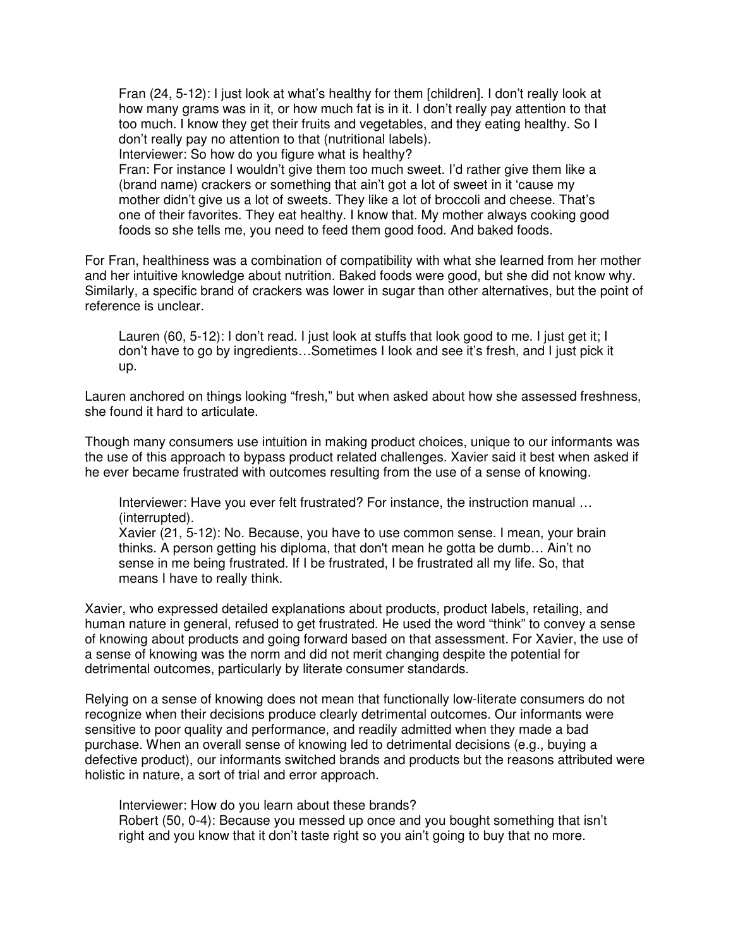Fran (24, 5-12): I just look at what's healthy for them [children]. I don't really look at how many grams was in it, or how much fat is in it. I don't really pay attention to that too much. I know they get their fruits and vegetables, and they eating healthy. So I don't really pay no attention to that (nutritional labels). Interviewer: So how do you figure what is healthy?

Fran: For instance I wouldn't give them too much sweet. I'd rather give them like a (brand name) crackers or something that ain't got a lot of sweet in it 'cause my mother didn't give us a lot of sweets. They like a lot of broccoli and cheese. That's one of their favorites. They eat healthy. I know that. My mother always cooking good foods so she tells me, you need to feed them good food. And baked foods.

For Fran, healthiness was a combination of compatibility with what she learned from her mother and her intuitive knowledge about nutrition. Baked foods were good, but she did not know why. Similarly, a specific brand of crackers was lower in sugar than other alternatives, but the point of reference is unclear.

Lauren (60, 5-12): I don't read. I just look at stuffs that look good to me. I just get it; I don't have to go by ingredients…Sometimes I look and see it's fresh, and I just pick it up.

Lauren anchored on things looking "fresh," but when asked about how she assessed freshness, she found it hard to articulate.

Though many consumers use intuition in making product choices, unique to our informants was the use of this approach to bypass product related challenges. Xavier said it best when asked if he ever became frustrated with outcomes resulting from the use of a sense of knowing.

Interviewer: Have you ever felt frustrated? For instance, the instruction manual … (interrupted).

Xavier (21, 5-12): No. Because, you have to use common sense. I mean, your brain thinks. A person getting his diploma, that don't mean he gotta be dumb… Ain't no sense in me being frustrated. If I be frustrated, I be frustrated all my life. So, that means I have to really think.

Xavier, who expressed detailed explanations about products, product labels, retailing, and human nature in general, refused to get frustrated. He used the word "think" to convey a sense of knowing about products and going forward based on that assessment. For Xavier, the use of a sense of knowing was the norm and did not merit changing despite the potential for detrimental outcomes, particularly by literate consumer standards.

Relying on a sense of knowing does not mean that functionally low-literate consumers do not recognize when their decisions produce clearly detrimental outcomes. Our informants were sensitive to poor quality and performance, and readily admitted when they made a bad purchase. When an overall sense of knowing led to detrimental decisions (e.g., buying a defective product), our informants switched brands and products but the reasons attributed were holistic in nature, a sort of trial and error approach.

Interviewer: How do you learn about these brands? Robert (50, 0-4): Because you messed up once and you bought something that isn't right and you know that it don't taste right so you ain't going to buy that no more.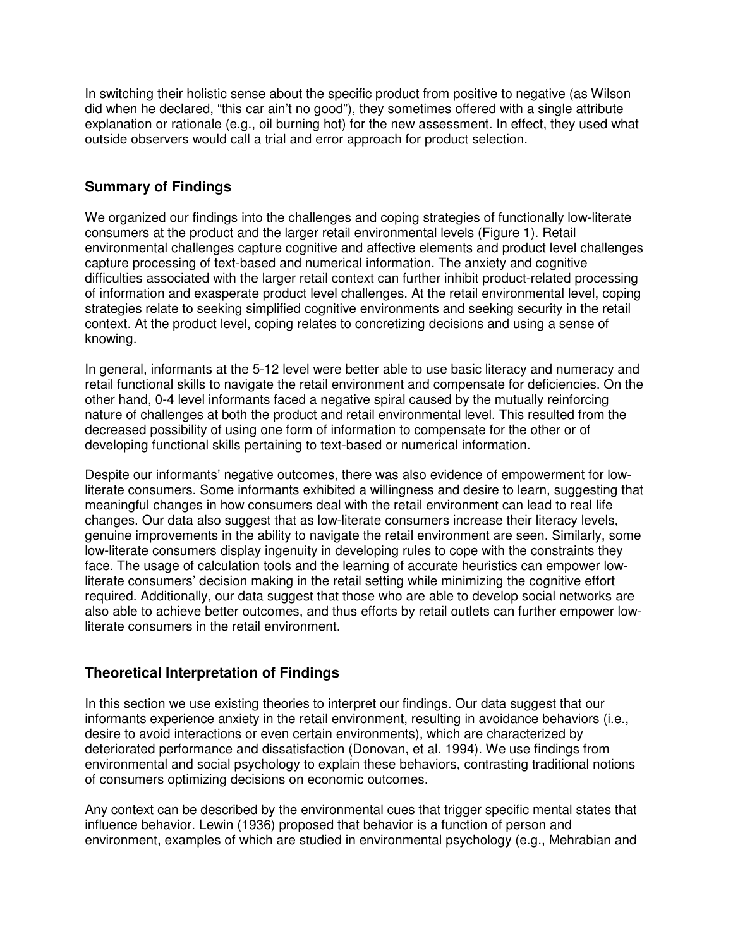In switching their holistic sense about the specific product from positive to negative (as Wilson did when he declared, "this car ain't no good"), they sometimes offered with a single attribute explanation or rationale (e.g., oil burning hot) for the new assessment. In effect, they used what outside observers would call a trial and error approach for product selection.

# **Summary of Findings**

We organized our findings into the challenges and coping strategies of functionally low-literate consumers at the product and the larger retail environmental levels (Figure 1). Retail environmental challenges capture cognitive and affective elements and product level challenges capture processing of text-based and numerical information. The anxiety and cognitive difficulties associated with the larger retail context can further inhibit product-related processing of information and exasperate product level challenges. At the retail environmental level, coping strategies relate to seeking simplified cognitive environments and seeking security in the retail context. At the product level, coping relates to concretizing decisions and using a sense of knowing.

In general, informants at the 5-12 level were better able to use basic literacy and numeracy and retail functional skills to navigate the retail environment and compensate for deficiencies. On the other hand, 0-4 level informants faced a negative spiral caused by the mutually reinforcing nature of challenges at both the product and retail environmental level. This resulted from the decreased possibility of using one form of information to compensate for the other or of developing functional skills pertaining to text-based or numerical information.

Despite our informants' negative outcomes, there was also evidence of empowerment for lowliterate consumers. Some informants exhibited a willingness and desire to learn, suggesting that meaningful changes in how consumers deal with the retail environment can lead to real life changes. Our data also suggest that as low-literate consumers increase their literacy levels, genuine improvements in the ability to navigate the retail environment are seen. Similarly, some low-literate consumers display ingenuity in developing rules to cope with the constraints they face. The usage of calculation tools and the learning of accurate heuristics can empower lowliterate consumers' decision making in the retail setting while minimizing the cognitive effort required. Additionally, our data suggest that those who are able to develop social networks are also able to achieve better outcomes, and thus efforts by retail outlets can further empower lowliterate consumers in the retail environment.

## **Theoretical Interpretation of Findings**

In this section we use existing theories to interpret our findings. Our data suggest that our informants experience anxiety in the retail environment, resulting in avoidance behaviors (i.e., desire to avoid interactions or even certain environments), which are characterized by deteriorated performance and dissatisfaction (Donovan, et al. 1994). We use findings from environmental and social psychology to explain these behaviors, contrasting traditional notions of consumers optimizing decisions on economic outcomes.

Any context can be described by the environmental cues that trigger specific mental states that influence behavior. Lewin (1936) proposed that behavior is a function of person and environment, examples of which are studied in environmental psychology (e.g., Mehrabian and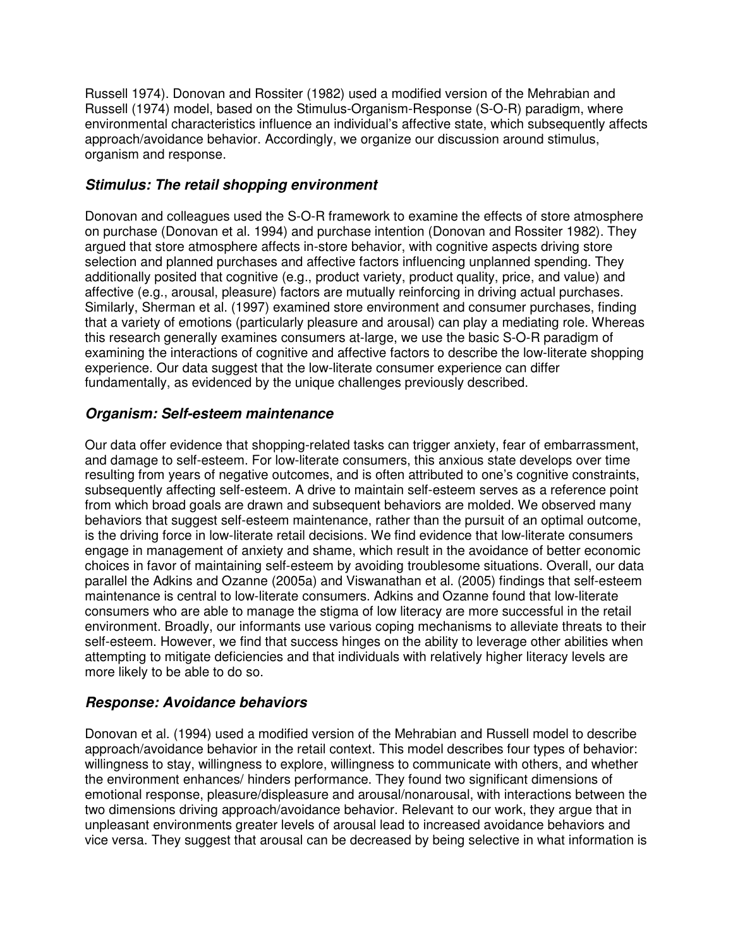Russell 1974). Donovan and Rossiter (1982) used a modified version of the Mehrabian and Russell (1974) model, based on the Stimulus-Organism-Response (S-O-R) paradigm, where environmental characteristics influence an individual's affective state, which subsequently affects approach/avoidance behavior. Accordingly, we organize our discussion around stimulus, organism and response.

# **Stimulus: The retail shopping environment**

Donovan and colleagues used the S-O-R framework to examine the effects of store atmosphere on purchase (Donovan et al. 1994) and purchase intention (Donovan and Rossiter 1982). They argued that store atmosphere affects in-store behavior, with cognitive aspects driving store selection and planned purchases and affective factors influencing unplanned spending. They additionally posited that cognitive (e.g., product variety, product quality, price, and value) and affective (e.g., arousal, pleasure) factors are mutually reinforcing in driving actual purchases. Similarly, Sherman et al. (1997) examined store environment and consumer purchases, finding that a variety of emotions (particularly pleasure and arousal) can play a mediating role. Whereas this research generally examines consumers at-large, we use the basic S-O-R paradigm of examining the interactions of cognitive and affective factors to describe the low-literate shopping experience. Our data suggest that the low-literate consumer experience can differ fundamentally, as evidenced by the unique challenges previously described.

# **Organism: Self-esteem maintenance**

Our data offer evidence that shopping-related tasks can trigger anxiety, fear of embarrassment, and damage to self-esteem. For low-literate consumers, this anxious state develops over time resulting from years of negative outcomes, and is often attributed to one's cognitive constraints, subsequently affecting self-esteem. A drive to maintain self-esteem serves as a reference point from which broad goals are drawn and subsequent behaviors are molded. We observed many behaviors that suggest self-esteem maintenance, rather than the pursuit of an optimal outcome, is the driving force in low-literate retail decisions. We find evidence that low-literate consumers engage in management of anxiety and shame, which result in the avoidance of better economic choices in favor of maintaining self-esteem by avoiding troublesome situations. Overall, our data parallel the Adkins and Ozanne (2005a) and Viswanathan et al. (2005) findings that self-esteem maintenance is central to low-literate consumers. Adkins and Ozanne found that low-literate consumers who are able to manage the stigma of low literacy are more successful in the retail environment. Broadly, our informants use various coping mechanisms to alleviate threats to their self-esteem. However, we find that success hinges on the ability to leverage other abilities when attempting to mitigate deficiencies and that individuals with relatively higher literacy levels are more likely to be able to do so.

## **Response: Avoidance behaviors**

Donovan et al. (1994) used a modified version of the Mehrabian and Russell model to describe approach/avoidance behavior in the retail context. This model describes four types of behavior: willingness to stay, willingness to explore, willingness to communicate with others, and whether the environment enhances/ hinders performance. They found two significant dimensions of emotional response, pleasure/displeasure and arousal/nonarousal, with interactions between the two dimensions driving approach/avoidance behavior. Relevant to our work, they argue that in unpleasant environments greater levels of arousal lead to increased avoidance behaviors and vice versa. They suggest that arousal can be decreased by being selective in what information is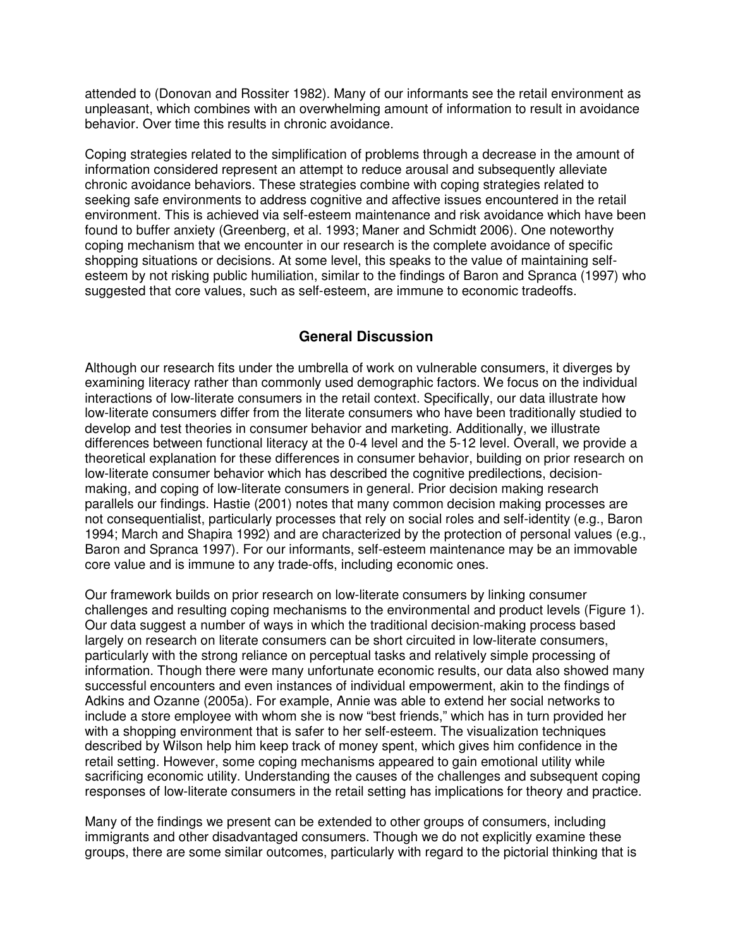attended to (Donovan and Rossiter 1982). Many of our informants see the retail environment as unpleasant, which combines with an overwhelming amount of information to result in avoidance behavior. Over time this results in chronic avoidance.

Coping strategies related to the simplification of problems through a decrease in the amount of information considered represent an attempt to reduce arousal and subsequently alleviate chronic avoidance behaviors. These strategies combine with coping strategies related to seeking safe environments to address cognitive and affective issues encountered in the retail environment. This is achieved via self-esteem maintenance and risk avoidance which have been found to buffer anxiety (Greenberg, et al. 1993; Maner and Schmidt 2006). One noteworthy coping mechanism that we encounter in our research is the complete avoidance of specific shopping situations or decisions. At some level, this speaks to the value of maintaining selfesteem by not risking public humiliation, similar to the findings of Baron and Spranca (1997) who suggested that core values, such as self-esteem, are immune to economic tradeoffs.

## **General Discussion**

Although our research fits under the umbrella of work on vulnerable consumers, it diverges by examining literacy rather than commonly used demographic factors. We focus on the individual interactions of low-literate consumers in the retail context. Specifically, our data illustrate how low-literate consumers differ from the literate consumers who have been traditionally studied to develop and test theories in consumer behavior and marketing. Additionally, we illustrate differences between functional literacy at the 0-4 level and the 5-12 level. Overall, we provide a theoretical explanation for these differences in consumer behavior, building on prior research on low-literate consumer behavior which has described the cognitive predilections, decisionmaking, and coping of low-literate consumers in general. Prior decision making research parallels our findings. Hastie (2001) notes that many common decision making processes are not consequentialist, particularly processes that rely on social roles and self-identity (e.g., Baron 1994; March and Shapira 1992) and are characterized by the protection of personal values (e.g., Baron and Spranca 1997). For our informants, self-esteem maintenance may be an immovable core value and is immune to any trade-offs, including economic ones.

Our framework builds on prior research on low-literate consumers by linking consumer challenges and resulting coping mechanisms to the environmental and product levels (Figure 1). Our data suggest a number of ways in which the traditional decision-making process based largely on research on literate consumers can be short circuited in low-literate consumers, particularly with the strong reliance on perceptual tasks and relatively simple processing of information. Though there were many unfortunate economic results, our data also showed many successful encounters and even instances of individual empowerment, akin to the findings of Adkins and Ozanne (2005a). For example, Annie was able to extend her social networks to include a store employee with whom she is now "best friends," which has in turn provided her with a shopping environment that is safer to her self-esteem. The visualization techniques described by Wilson help him keep track of money spent, which gives him confidence in the retail setting. However, some coping mechanisms appeared to gain emotional utility while sacrificing economic utility. Understanding the causes of the challenges and subsequent coping responses of low-literate consumers in the retail setting has implications for theory and practice.

Many of the findings we present can be extended to other groups of consumers, including immigrants and other disadvantaged consumers. Though we do not explicitly examine these groups, there are some similar outcomes, particularly with regard to the pictorial thinking that is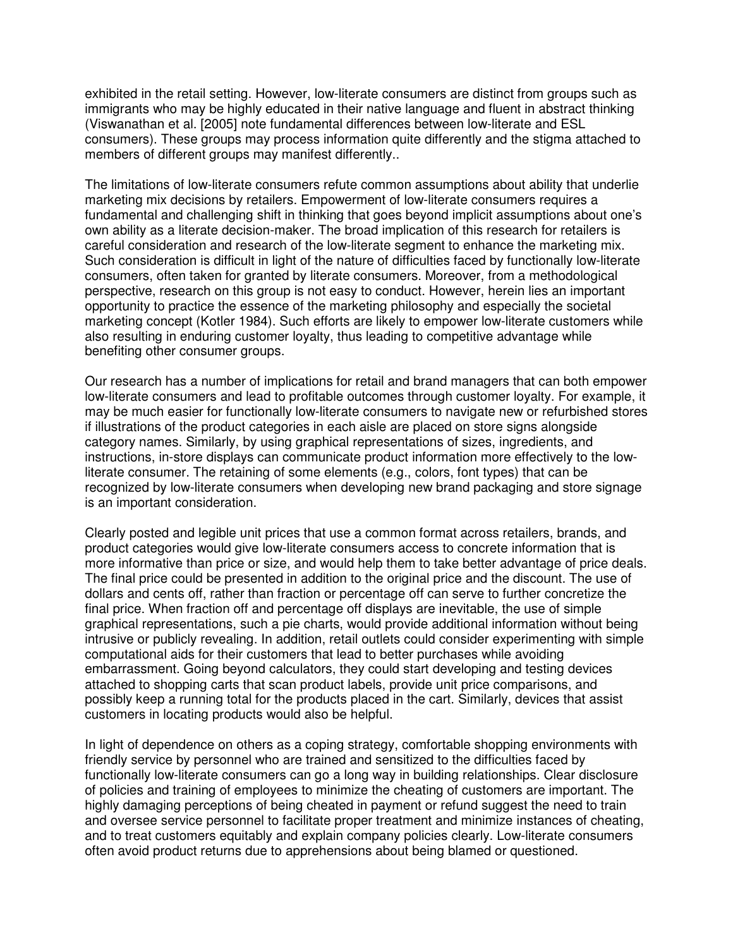exhibited in the retail setting. However, low-literate consumers are distinct from groups such as immigrants who may be highly educated in their native language and fluent in abstract thinking (Viswanathan et al. [2005] note fundamental differences between low-literate and ESL consumers). These groups may process information quite differently and the stigma attached to members of different groups may manifest differently..

The limitations of low-literate consumers refute common assumptions about ability that underlie marketing mix decisions by retailers. Empowerment of low-literate consumers requires a fundamental and challenging shift in thinking that goes beyond implicit assumptions about one's own ability as a literate decision-maker. The broad implication of this research for retailers is careful consideration and research of the low-literate segment to enhance the marketing mix. Such consideration is difficult in light of the nature of difficulties faced by functionally low-literate consumers, often taken for granted by literate consumers. Moreover, from a methodological perspective, research on this group is not easy to conduct. However, herein lies an important opportunity to practice the essence of the marketing philosophy and especially the societal marketing concept (Kotler 1984). Such efforts are likely to empower low-literate customers while also resulting in enduring customer loyalty, thus leading to competitive advantage while benefiting other consumer groups.

Our research has a number of implications for retail and brand managers that can both empower low-literate consumers and lead to profitable outcomes through customer loyalty. For example, it may be much easier for functionally low-literate consumers to navigate new or refurbished stores if illustrations of the product categories in each aisle are placed on store signs alongside category names. Similarly, by using graphical representations of sizes, ingredients, and instructions, in-store displays can communicate product information more effectively to the lowliterate consumer. The retaining of some elements (e.g., colors, font types) that can be recognized by low-literate consumers when developing new brand packaging and store signage is an important consideration.

Clearly posted and legible unit prices that use a common format across retailers, brands, and product categories would give low-literate consumers access to concrete information that is more informative than price or size, and would help them to take better advantage of price deals. The final price could be presented in addition to the original price and the discount. The use of dollars and cents off, rather than fraction or percentage off can serve to further concretize the final price. When fraction off and percentage off displays are inevitable, the use of simple graphical representations, such a pie charts, would provide additional information without being intrusive or publicly revealing. In addition, retail outlets could consider experimenting with simple computational aids for their customers that lead to better purchases while avoiding embarrassment. Going beyond calculators, they could start developing and testing devices attached to shopping carts that scan product labels, provide unit price comparisons, and possibly keep a running total for the products placed in the cart. Similarly, devices that assist customers in locating products would also be helpful.

In light of dependence on others as a coping strategy, comfortable shopping environments with friendly service by personnel who are trained and sensitized to the difficulties faced by functionally low-literate consumers can go a long way in building relationships. Clear disclosure of policies and training of employees to minimize the cheating of customers are important. The highly damaging perceptions of being cheated in payment or refund suggest the need to train and oversee service personnel to facilitate proper treatment and minimize instances of cheating, and to treat customers equitably and explain company policies clearly. Low-literate consumers often avoid product returns due to apprehensions about being blamed or questioned.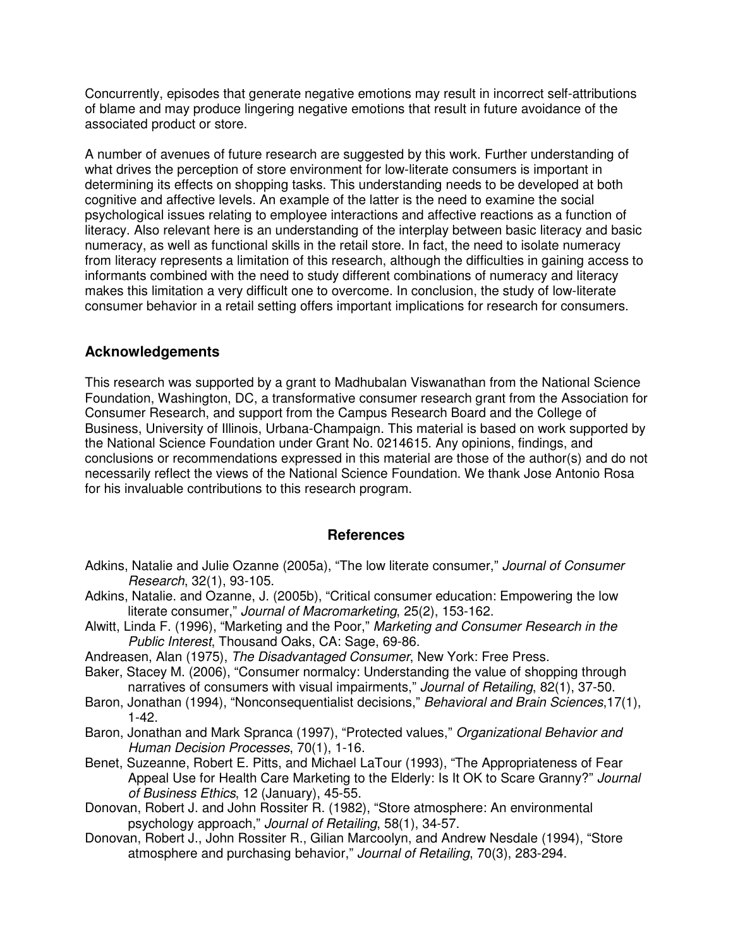Concurrently, episodes that generate negative emotions may result in incorrect self-attributions of blame and may produce lingering negative emotions that result in future avoidance of the associated product or store.

A number of avenues of future research are suggested by this work. Further understanding of what drives the perception of store environment for low-literate consumers is important in determining its effects on shopping tasks. This understanding needs to be developed at both cognitive and affective levels. An example of the latter is the need to examine the social psychological issues relating to employee interactions and affective reactions as a function of literacy. Also relevant here is an understanding of the interplay between basic literacy and basic numeracy, as well as functional skills in the retail store. In fact, the need to isolate numeracy from literacy represents a limitation of this research, although the difficulties in gaining access to informants combined with the need to study different combinations of numeracy and literacy makes this limitation a very difficult one to overcome. In conclusion, the study of low-literate consumer behavior in a retail setting offers important implications for research for consumers.

### **Acknowledgements**

This research was supported by a grant to Madhubalan Viswanathan from the National Science Foundation, Washington, DC, a transformative consumer research grant from the Association for Consumer Research, and support from the Campus Research Board and the College of Business, University of Illinois, Urbana-Champaign. This material is based on work supported by the National Science Foundation under Grant No. 0214615. Any opinions, findings, and conclusions or recommendations expressed in this material are those of the author(s) and do not necessarily reflect the views of the National Science Foundation. We thank Jose Antonio Rosa for his invaluable contributions to this research program.

#### **References**

- Adkins, Natalie and Julie Ozanne (2005a), "The low literate consumer," Journal of Consumer Research, 32(1), 93-105.
- Adkins, Natalie. and Ozanne, J. (2005b), "Critical consumer education: Empowering the low literate consumer," Journal of Macromarketing, 25(2), 153-162.
- Alwitt, Linda F. (1996), "Marketing and the Poor," Marketing and Consumer Research in the Public Interest, Thousand Oaks, CA: Sage, 69-86.
- Andreasen, Alan (1975), The Disadvantaged Consumer, New York: Free Press.
- Baker, Stacey M. (2006), "Consumer normalcy: Understanding the value of shopping through narratives of consumers with visual impairments," Journal of Retailing, 82(1), 37-50.
- Baron, Jonathan (1994), "Nonconsequentialist decisions," Behavioral and Brain Sciences, 17(1), 1-42.
- Baron, Jonathan and Mark Spranca (1997), "Protected values," Organizational Behavior and Human Decision Processes, 70(1), 1-16.
- Benet, Suzeanne, Robert E. Pitts, and Michael LaTour (1993), "The Appropriateness of Fear Appeal Use for Health Care Marketing to the Elderly: Is It OK to Scare Granny?" Journal of Business Ethics, 12 (January), 45-55.
- Donovan, Robert J. and John Rossiter R. (1982), "Store atmosphere: An environmental psychology approach," Journal of Retailing, 58(1), 34-57.
- Donovan, Robert J., John Rossiter R., Gilian Marcoolyn, and Andrew Nesdale (1994), "Store atmosphere and purchasing behavior," Journal of Retailing, 70(3), 283-294.